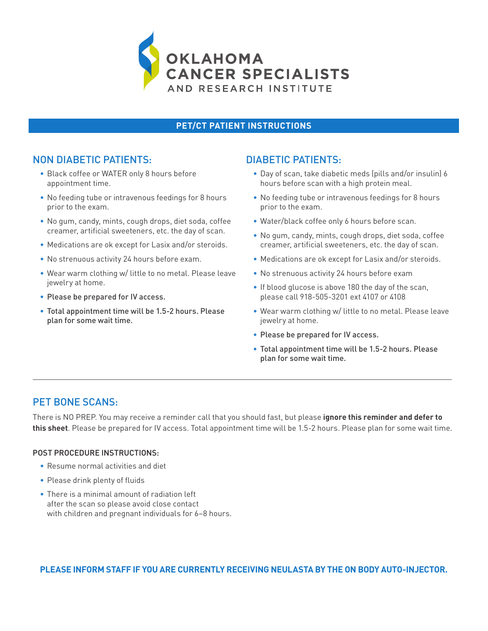

#### **PET/CT PATIENT INSTRUCTIONS**

## NON DIABETIC PATIENTS:

- Black coffee or WATER only 8 hours before appointment time.
- No feeding tube or intravenous feedings for 8 hours prior to the exam.
- No gum, candy, mints, cough drops, diet soda, coffee creamer, artificial sweeteners, etc. the day of scan.
- Medications are ok except for Lasix and/or steroids.
- No strenuous activity 24 hours before exam.
- Wear warm clothing w/ little to no metal. Please leave jewelry at home.
- Please be prepared for IV access.
- Total appointment time will be 1.5-2 hours. Please plan for some wait time.

#### DIABETIC PATIENTS:

- Day of scan, take diabetic meds (pills and/or insulin) 6 hours before scan with a high protein meal.
- No feeding tube or intravenous feedings for 8 hours prior to the exam.
- Water/black coffee only 6 hours before scan.
- No gum, candy, mints, cough drops, diet soda, coffee creamer, artificial sweeteners, etc. the day of scan.
- Medications are ok except for Lasix and/or steroids.
- No strenuous activity 24 hours before exam
- If blood glucose is above 180 the day of the scan, please call 918-505-3201 ext 4107 or 4108
- Wear warm clothing w/ little to no metal. Please leave jewelry at home.
- Please be prepared for IV access.
- Total appointment time will be 1.5-2 hours. Please plan for some wait time.

# PET BONE SCANS:

There is NO PREP. You may receive a reminder call that you should fast, but please **ignore this reminder and defer to this sheet**. Please be prepared for IV access. Total appointment time will be 1.5-2 hours. Please plan for some wait time.

#### POST PROCEDURE INSTRUCTIONS:

- Resume normal activities and diet
- Please drink plenty of fluids
- There is a minimal amount of radiation left after the scan so please avoid close contact with children and pregnant individuals for 6–8 hours.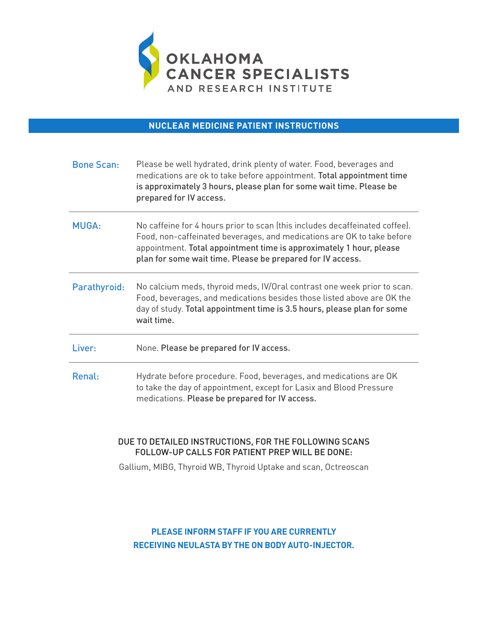

**NUCLEAR MEDICINE PATIENT INSTRUCTIONS**

| <b>Bone Scan:</b> | Please be well hydrated, drink plenty of water. Food, beverages and<br>medications are ok to take before appointment. Total appointment time<br>is approximately 3 hours, please plan for some wait time. Please be<br>prepared for IV access.                                             |
|-------------------|--------------------------------------------------------------------------------------------------------------------------------------------------------------------------------------------------------------------------------------------------------------------------------------------|
| <b>MUGA:</b>      | No caffeine for 4 hours prior to scan (this includes decaffeinated coffee).<br>Food, non-caffeinated beverages, and medications are OK to take before<br>appointment. Total appointment time is approximately 1 hour, please<br>plan for some wait time. Please be prepared for IV access. |
| Parathyroid:      | No calcium meds, thyroid meds, IV/Oral contrast one week prior to scan.<br>Food, beverages, and medications besides those listed above are OK the<br>day of study. Total appointment time is 3.5 hours, please plan for some<br>wait time.                                                 |
| Liver:            | None. Please be prepared for IV access.                                                                                                                                                                                                                                                    |
| Renal:            | Hydrate before procedure. Food, beverages, and medications are OK<br>to take the day of appointment, except for Lasix and Blood Pressure<br>medications. Please be prepared for IV access.                                                                                                 |

#### DUE TO DETAILED INSTRUCTIONS, FOR THE FOLLOWING SCANS FOLLOW-UP CALLS FOR PATIENT PREP WILL BE DONE:

Gallium, MIBG, Thyroid WB, Thyroid Uptake and scan, Octreoscan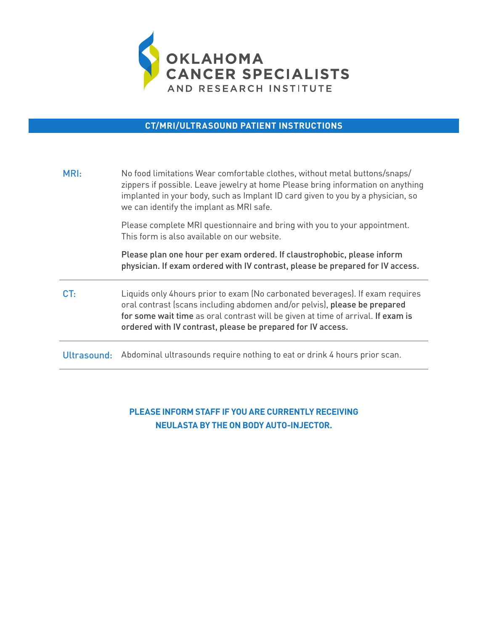

### **CT/MRI/ULTRASOUND PATIENT INSTRUCTIONS**

| MRI:            | No food limitations Wear comfortable clothes, without metal buttons/snaps/<br>zippers if possible. Leave jewelry at home Please bring information on anything<br>implanted in your body, such as Implant ID card given to you by a physician, so<br>we can identify the implant as MRI safe.                  |
|-----------------|---------------------------------------------------------------------------------------------------------------------------------------------------------------------------------------------------------------------------------------------------------------------------------------------------------------|
|                 | Please complete MRI questionnaire and bring with you to your appointment.<br>This form is also available on our website.                                                                                                                                                                                      |
|                 | Please plan one hour per exam ordered. If claustrophobic, please inform<br>physician. If exam ordered with IV contrast, please be prepared for IV access.                                                                                                                                                     |
| CT <sub>1</sub> | Liquids only 4hours prior to exam (No carbonated beverages). If exam requires<br>oral contrast (scans including abdomen and/or pelvis), please be prepared<br>for some wait time as oral contrast will be given at time of arrival. If exam is<br>ordered with IV contrast, please be prepared for IV access. |
| Ultrasound:     | Abdominal ultrasounds require nothing to eat or drink 4 hours prior scan.                                                                                                                                                                                                                                     |